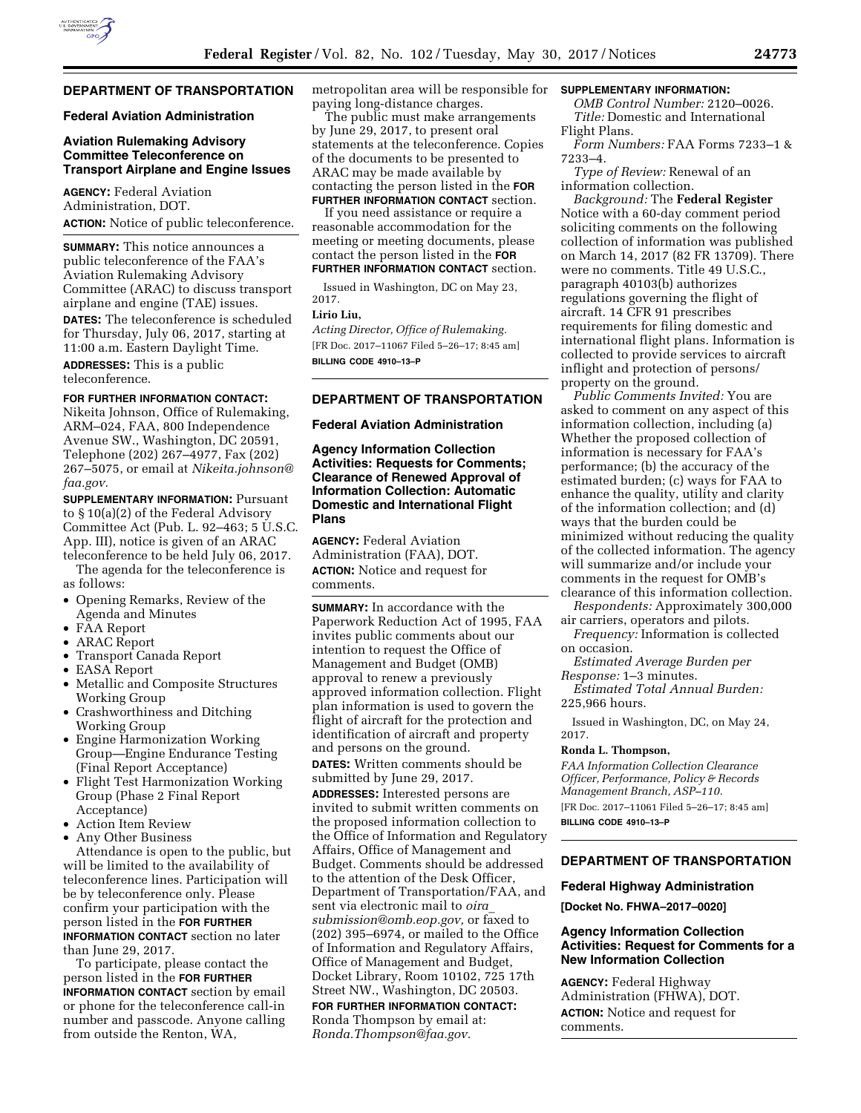# **DEPARTMENT OF TRANSPORTATION**

### **Federal Aviation Administration**

## **Aviation Rulemaking Advisory Committee Teleconference on Transport Airplane and Engine Issues**

**AGENCY:** Federal Aviation Administration, DOT. **ACTION:** Notice of public teleconference.

**SUMMARY:** This notice announces a public teleconference of the FAA's Aviation Rulemaking Advisory Committee (ARAC) to discuss transport airplane and engine (TAE) issues.

**DATES:** The teleconference is scheduled for Thursday, July 06, 2017, starting at 11:00 a.m. Eastern Daylight Time.

**ADDRESSES:** This is a public teleconference.

## **FOR FURTHER INFORMATION CONTACT:**

Nikeita Johnson, Office of Rulemaking, ARM–024, FAA, 800 Independence Avenue SW., Washington, DC 20591, Telephone (202) 267–4977, Fax (202) 267–5075, or email at *[Nikeita.johnson@](mailto:Nikeita.johnson@faa.gov) [faa.gov.](mailto:Nikeita.johnson@faa.gov)* 

**SUPPLEMENTARY INFORMATION: Pursuant** to § 10(a)(2) of the Federal Advisory Committee Act (Pub. L. 92–463; 5 U.S.C. App. III), notice is given of an ARAC teleconference to be held July 06, 2017.

The agenda for the teleconference is as follows:

- Opening Remarks, Review of the Agenda and Minutes
- FAA Report
- ARAC Report
- Transport Canada Report
- EASA Report
- Metallic and Composite Structures Working Group
- Crashworthiness and Ditching Working Group
- Engine Harmonization Working Group—Engine Endurance Testing (Final Report Acceptance)
- Flight Test Harmonization Working Group (Phase 2 Final Report Acceptance)
- Action Item Review
- Any Other Business

Attendance is open to the public, but will be limited to the availability of teleconference lines. Participation will be by teleconference only. Please confirm your participation with the person listed in the **FOR FURTHER INFORMATION CONTACT** section no later than June 29, 2017.

To participate, please contact the person listed in the **FOR FURTHER INFORMATION CONTACT** section by email or phone for the teleconference call-in number and passcode. Anyone calling from outside the Renton, WA,

metropolitan area will be responsible for **SUPPLEMENTARY INFORMATION:**  paying long-distance charges.

The public must make arrangements by June 29, 2017, to present oral statements at the teleconference. Copies of the documents to be presented to ARAC may be made available by contacting the person listed in the **FOR FURTHER INFORMATION CONTACT** section.

If you need assistance or require a reasonable accommodation for the meeting or meeting documents, please contact the person listed in the **FOR FURTHER INFORMATION CONTACT** section.

Issued in Washington, DC on May 23, 2017.

#### **Lirio Liu,**

*Acting Director, Office of Rulemaking.*  [FR Doc. 2017–11067 Filed 5–26–17; 8:45 am] **BILLING CODE 4910–13–P** 

# **DEPARTMENT OF TRANSPORTATION**

# **Federal Aviation Administration**

**Agency Information Collection Activities: Requests for Comments; Clearance of Renewed Approval of Information Collection: Automatic Domestic and International Flight Plans** 

**AGENCY:** Federal Aviation Administration (FAA), DOT. **ACTION:** Notice and request for comments.

**SUMMARY:** In accordance with the Paperwork Reduction Act of 1995, FAA invites public comments about our intention to request the Office of Management and Budget (OMB) approval to renew a previously approved information collection. Flight plan information is used to govern the flight of aircraft for the protection and identification of aircraft and property and persons on the ground. **DATES:** Written comments should be submitted by June 29, 2017. **ADDRESSES:** Interested persons are invited to submit written comments on the proposed information collection to the Office of Information and Regulatory Affairs, Office of Management and Budget. Comments should be addressed

to the attention of the Desk Officer, Department of Transportation/FAA, and sent via electronic mail to *[oira](mailto:oira_submission@omb.eop.gov)*\_ *[submission@omb.eop.gov,](mailto:oira_submission@omb.eop.gov)* or faxed to (202) 395–6974, or mailed to the Office of Information and Regulatory Affairs, Office of Management and Budget, Docket Library, Room 10102, 725 17th Street NW., Washington, DC 20503.

**FOR FURTHER INFORMATION CONTACT:**  Ronda Thompson by email at: *[Ronda.Thompson@faa.gov.](mailto:Ronda.Thompson@faa.gov)* 

*OMB Control Number:* 2120–0026. *Title:* Domestic and International Flight Plans.

*Form Numbers:* FAA Forms 7233–1 & 7233–4.

*Type of Review:* Renewal of an information collection.

*Background:* The **Federal Register**  Notice with a 60-day comment period soliciting comments on the following collection of information was published on March 14, 2017 (82 FR 13709). There were no comments. Title 49 U.S.C., paragraph 40103(b) authorizes regulations governing the flight of aircraft. 14 CFR 91 prescribes requirements for filing domestic and international flight plans. Information is collected to provide services to aircraft inflight and protection of persons/ property on the ground.

*Public Comments Invited:* You are asked to comment on any aspect of this information collection, including (a) Whether the proposed collection of information is necessary for FAA's performance; (b) the accuracy of the estimated burden; (c) ways for FAA to enhance the quality, utility and clarity of the information collection; and (d) ways that the burden could be minimized without reducing the quality of the collected information. The agency will summarize and/or include your comments in the request for OMB's clearance of this information collection.

*Respondents:* Approximately 300,000 air carriers, operators and pilots.

*Frequency:* Information is collected on occasion.

*Estimated Average Burden per Response:* 1–3 minutes.

*Estimated Total Annual Burden:*  225,966 hours.

Issued in Washington, DC, on May 24, 2017.

## **Ronda L. Thompson,**

*FAA Information Collection Clearance Officer, Performance, Policy & Records Management Branch, ASP–110.*  [FR Doc. 2017–11061 Filed 5–26–17; 8:45 am]

**BILLING CODE 4910–13–P** 

# **DEPARTMENT OF TRANSPORTATION**

#### **Federal Highway Administration**

**[Docket No. FHWA–2017–0020]** 

## **Agency Information Collection Activities: Request for Comments for a New Information Collection**

**AGENCY:** Federal Highway Administration (FHWA), DOT. **ACTION:** Notice and request for comments.